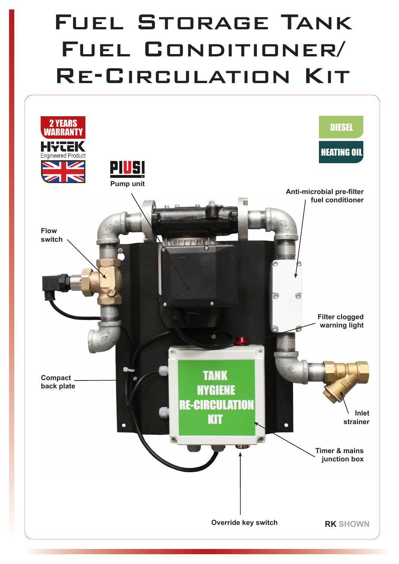## Fuel Storage Tank Fuel Conditioner/ Re-Circulation Kit